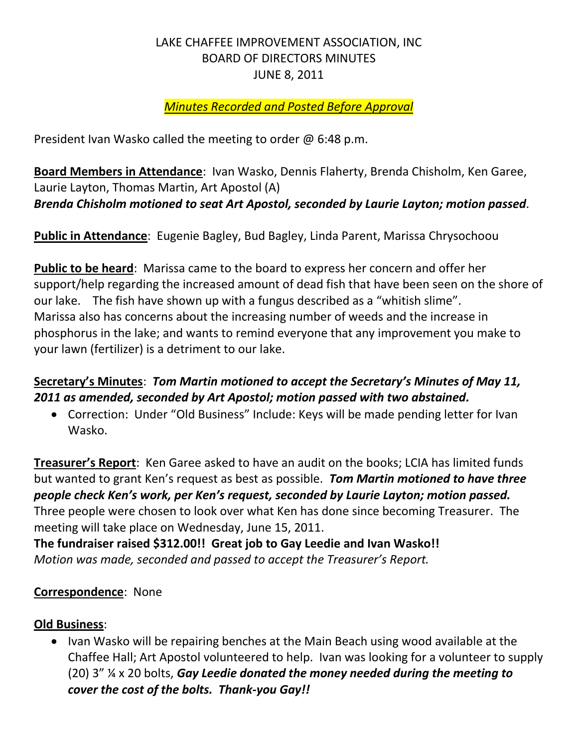#### LAKE CHAFFEE IMPROVEMENT ASSOCIATION, INC BOARD OF DIRECTORS MINUTES JUNE 8, 2011

#### *Minutes Recorded and Posted Before Approval*

President Ivan Wasko called the meeting to order @ 6:48 p.m.

**Board Members in Attendance**: Ivan Wasko, Dennis Flaherty, Brenda Chisholm, Ken Garee, Laurie Layton, Thomas Martin, Art Apostol (A) *Brenda Chisholm motioned to seat Art Apostol, seconded by Laurie Layton; motion passed.*

**Public in Attendance**: Eugenie Bagley, Bud Bagley, Linda Parent, Marissa Chrysochoou

**Public to be heard**: Marissa came to the board to express her concern and offer her support/help regarding the increased amount of dead fish that have been seen on the shore of our lake. The fish have shown up with a fungus described as a "whitish slime". Marissa also has concerns about the increasing number of weeds and the increase in phosphorus in the lake; and wants to remind everyone that any improvement you make to your lawn (fertilizer) is a detriment to our lake.

# **Secretary's Minutes**: *Tom Martin motioned to accept the Secretary's Minutes of May 11, 2011 as amended, seconded by Art Apostol; motion passed with two abstained.*

 Correction: Under "Old Business" Include: Keys will be made pending letter for Ivan Wasko.

**Treasurer's Report**: Ken Garee asked to have an audit on the books; LCIA has limited funds but wanted to grant Ken's request as best as possible. *Tom Martin motioned to have three people check Ken's work, per Ken's request, seconded by Laurie Layton; motion passed.* Three people were chosen to look over what Ken has done since becoming Treasurer. The meeting will take place on Wednesday, June 15, 2011.

**The fundraiser raised \$312.00!! Great job to Gay Leedie and Ivan Wasko!!** *Motion was made, seconded and passed to accept the Treasurer's Report.*

#### **Correspondence**: None

#### **Old Business**:

• Ivan Wasko will be repairing benches at the Main Beach using wood available at the Chaffee Hall; Art Apostol volunteered to help. Ivan was looking for a volunteer to supply (20) 3" ¼ x 20 bolts, *Gay Leedie donated the money needed during the meeting to cover the cost of the bolts. Thank-you Gay!!*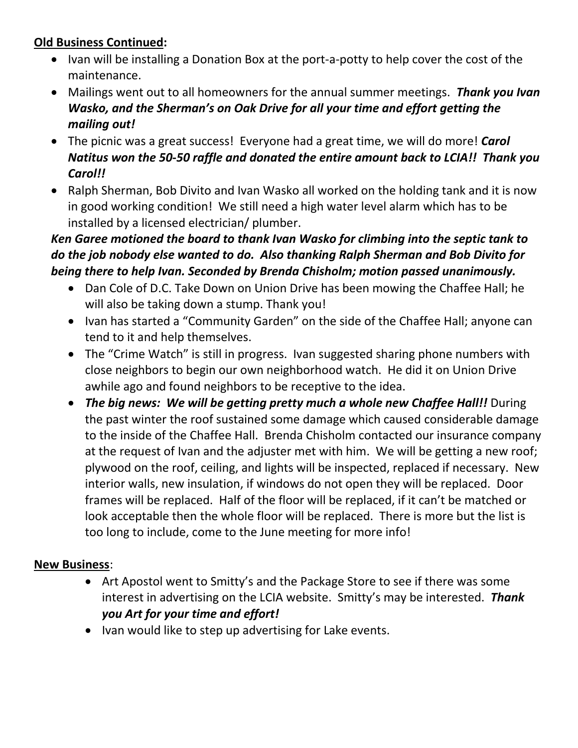# **Old Business Continued:**

- Ivan will be installing a Donation Box at the port-a-potty to help cover the cost of the maintenance.
- Mailings went out to all homeowners for the annual summer meetings. *Thank you Ivan Wasko, and the Sherman's on Oak Drive for all your time and effort getting the mailing out!*
- The picnic was a great success! Everyone had a great time, we will do more! *Carol Natitus won the 50-50 raffle and donated the entire amount back to LCIA!! Thank you Carol!!*
- Ralph Sherman, Bob Divito and Ivan Wasko all worked on the holding tank and it is now in good working condition! We still need a high water level alarm which has to be installed by a licensed electrician/ plumber.

# *Ken Garee motioned the board to thank Ivan Wasko for climbing into the septic tank to do the job nobody else wanted to do. Also thanking Ralph Sherman and Bob Divito for being there to help Ivan. Seconded by Brenda Chisholm; motion passed unanimously.*

- Dan Cole of D.C. Take Down on Union Drive has been mowing the Chaffee Hall; he will also be taking down a stump. Thank you!
- Ivan has started a "Community Garden" on the side of the Chaffee Hall; anyone can tend to it and help themselves.
- The "Crime Watch" is still in progress. Ivan suggested sharing phone numbers with close neighbors to begin our own neighborhood watch. He did it on Union Drive awhile ago and found neighbors to be receptive to the idea.
- *The big news: We will be getting pretty much a whole new Chaffee Hall!!* During the past winter the roof sustained some damage which caused considerable damage to the inside of the Chaffee Hall. Brenda Chisholm contacted our insurance company at the request of Ivan and the adjuster met with him. We will be getting a new roof; plywood on the roof, ceiling, and lights will be inspected, replaced if necessary. New interior walls, new insulation, if windows do not open they will be replaced. Door frames will be replaced. Half of the floor will be replaced, if it can't be matched or look acceptable then the whole floor will be replaced. There is more but the list is too long to include, come to the June meeting for more info!

#### **New Business**:

- Art Apostol went to Smitty's and the Package Store to see if there was some interest in advertising on the LCIA website. Smitty's may be interested. *Thank you Art for your time and effort!*
- Ivan would like to step up advertising for Lake events.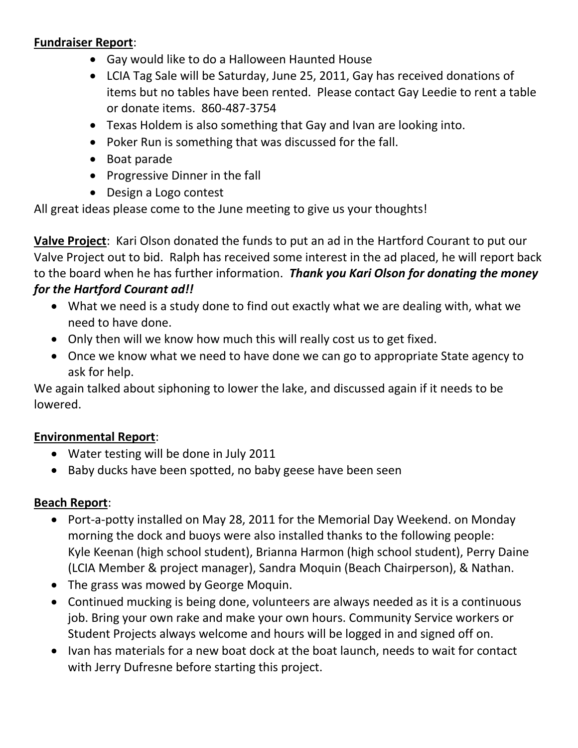#### **Fundraiser Report**:

- Gay would like to do a Halloween Haunted House
- LCIA Tag Sale will be Saturday, June 25, 2011, Gay has received donations of items but no tables have been rented. Please contact Gay Leedie to rent a table or donate items. 860-487-3754
- Texas Holdem is also something that Gay and Ivan are looking into.
- Poker Run is something that was discussed for the fall.
- Boat parade
- Progressive Dinner in the fall
- Design a Logo contest

All great ideas please come to the June meeting to give us your thoughts!

**Valve Project**: Kari Olson donated the funds to put an ad in the Hartford Courant to put our Valve Project out to bid. Ralph has received some interest in the ad placed, he will report back to the board when he has further information. *Thank you Kari Olson for donating the money for the Hartford Courant ad!!*

- What we need is a study done to find out exactly what we are dealing with, what we need to have done.
- Only then will we know how much this will really cost us to get fixed.
- Once we know what we need to have done we can go to appropriate State agency to ask for help.

We again talked about siphoning to lower the lake, and discussed again if it needs to be lowered.

# **Environmental Report**:

- Water testing will be done in July 2011
- Baby ducks have been spotted, no baby geese have been seen

#### **Beach Report**:

- Port-a-potty installed on May 28, 2011 for the Memorial Day Weekend. on Monday morning the dock and buoys were also installed thanks to the following people: Kyle Keenan (high school student), Brianna Harmon (high school student), Perry Daine (LCIA Member & project manager), Sandra Moquin (Beach Chairperson), & Nathan.
- The grass was mowed by George Moquin.
- Continued mucking is being done, volunteers are always needed as it is a continuous job. Bring your own rake and make your own hours. Community Service workers or Student Projects always welcome and hours will be logged in and signed off on.
- Ivan has materials for a new boat dock at the boat launch, needs to wait for contact with Jerry Dufresne before starting this project.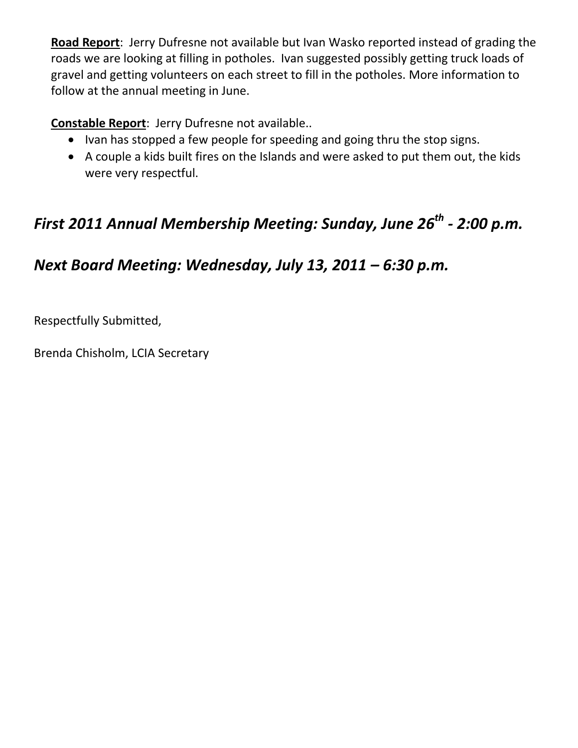**Road Report**: Jerry Dufresne not available but Ivan Wasko reported instead of grading the roads we are looking at filling in potholes. Ivan suggested possibly getting truck loads of gravel and getting volunteers on each street to fill in the potholes. More information to follow at the annual meeting in June.

# **Constable Report**: Jerry Dufresne not available..

- Ivan has stopped a few people for speeding and going thru the stop signs.
- A couple a kids built fires on the Islands and were asked to put them out, the kids were very respectful.

# *First 2011 Annual Membership Meeting: Sunday, June 26th - 2:00 p.m.*

# *Next Board Meeting: Wednesday, July 13, 2011 – 6:30 p.m.*

Respectfully Submitted,

Brenda Chisholm, LCIA Secretary